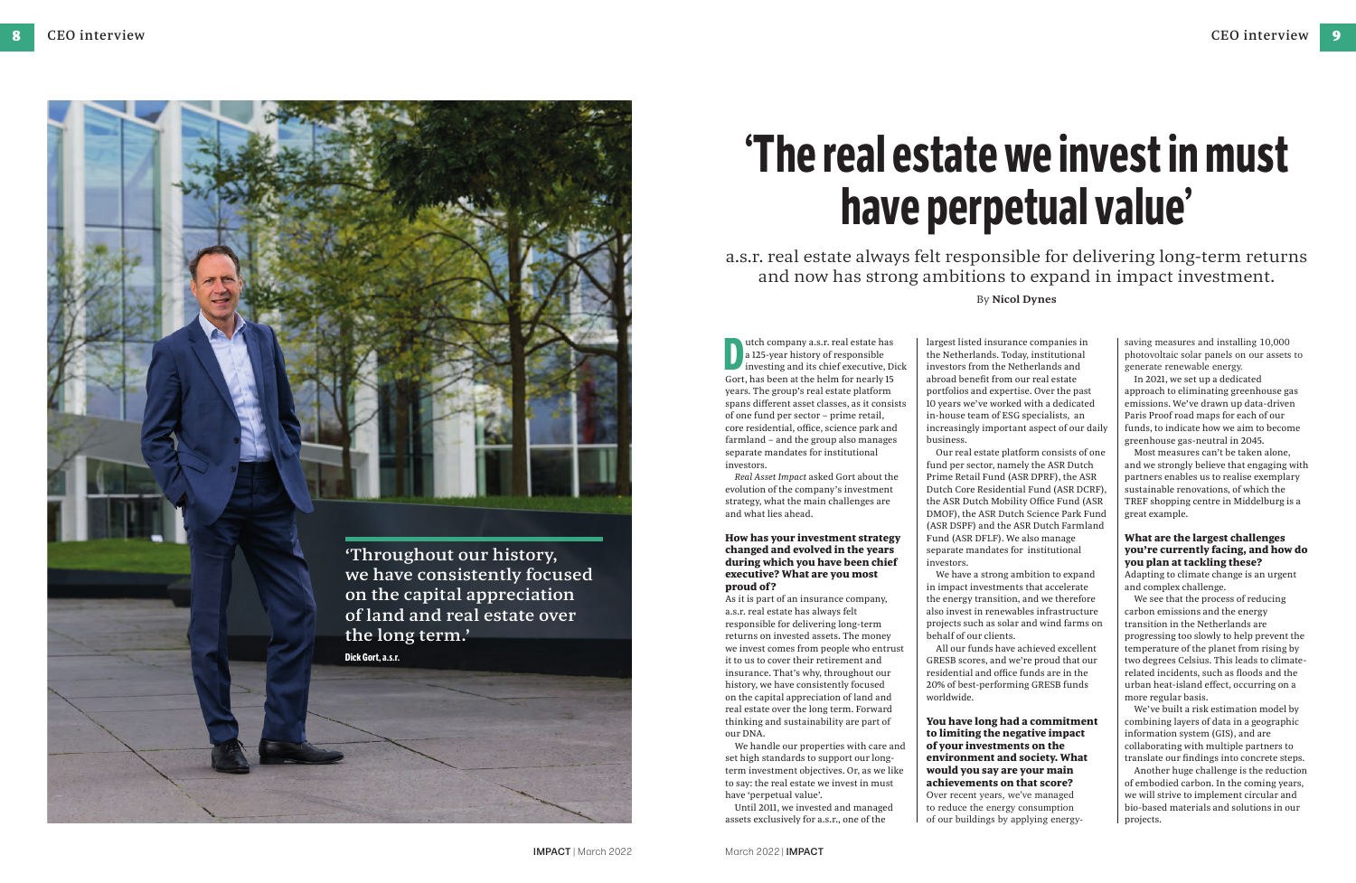# **'The real estate we invest in must have perpetual value'**

Utch company a.s.r. real estate has<br>
a 125-year history of responsible<br>
investing and its chief executive, D<br>
Gort, has been at the helm for nearly 15 utch company a.s.r. real estate has a 125-year history of responsible investing and its chief executive, Dick years. The group's real estate platform spans different asset classes, as it consists of one fund per sector – prime retail, core residential, office, science park and farmland – and the group also manages separate mandates for institutional investors.

*Real Asset Impact* asked Gort about the evolution of the company's investment strategy, what the main challenges are and what lies ahead.

## **How has your investment strategy changed and evolved in the years during which you have been chief executive? What are you most proud of ?**

As it is part of an insurance company, a.s.r. real estate has always felt responsible for delivering long-term returns on invested assets. The money we invest comes from people who entrust it to us to cover their retirement and insurance. That's why, throughout our history, we have consistently focused on the capital appreciation of land and real estate over the long term. Forward thinking and sustainability are part of our DNA.

We handle our properties with care and set high standards to support our longterm investment objectives. Or, as we like to say: the real estate we invest in must have 'perpetual value'.

Until 2011, we invested and managed assets exclusively for a.s.r., one of the

largest listed insurance companies in the Netherlands. Today, institutional investors from the Netherlands and abroad benefit from our real estate portfolios and expertise. Over the past 10 years we've worked with a dedicated in-house team of ESG specialists, an increasingly important aspect of our daily business.

Our real estate platform consists of one fund per sector, namely the ASR Dutch Prime Retail Fund (ASR DPRF), the ASR Dutch Core Residential Fund (ASR DCRF), the ASR Dutch Mobility Office Fund (ASR DMOF), the ASR Dutch Science Park Fund (ASR DSPF) and the ASR Dutch Farmland Fund (ASR DFLF). We also manage separate mandates for institutional investors.

We have a strong ambition to expand in impact investments that accelerate the energy transition, and we therefore also invest in renewables infrastructure projects such as solar and wind farms on behalf of our clients.

All our funds have achieved excellent GRESB scores, and we're proud that our residential and office funds are in the 20% of best-performing GRESB funds worldwide.

**You have long had a commitment to limiting the negative impact of your investments on the environment and society. What would you say are your main achievements on that score?** Over recent years, we've managed to reduce the energy consumption of our buildings by applying energy-

a.s.r. real estate always felt responsible for delivering long-term returns and now has strong ambitions to expand in impact investment. By **Nicol Dynes**

saving measures and installing 10,000 photovoltaic solar panels on our assets to generate renewable energy.

In 2021, we set up a dedicated approach to eliminating greenhouse gas emissions. We've drawn up data-driven Paris Proof road maps for each of our funds, to indicate how we aim to become greenhouse gas-neutral in 2045.

Most measures can't be taken alone, and we strongly believe that engaging with partners enables us to realise exemplary sustainable renovations, of which the TREF shopping centre in Middelburg is a great example.

# **What are the largest challenges you're currently facing, and how do you plan at tackling these?**

Adapting to climate change is an urgent and complex challenge.

We see that the process of reducing carbon emissions and the energy transition in the Netherlands are progressing too slowly to help prevent the temperature of the planet from rising by two degrees Celsius. This leads to climaterelated incidents, such as floods and the urban heat-island effect, occurring on a more regular basis.

We've built a risk estimation model by combining layers of data in a geographic information system (GIS), and are collaborating with multiple partners to translate our findings into concrete steps.

Another huge challenge is the reduction of embodied carbon. In the coming years, we will strive to implement circular and bio-based materials and solutions in our projects.